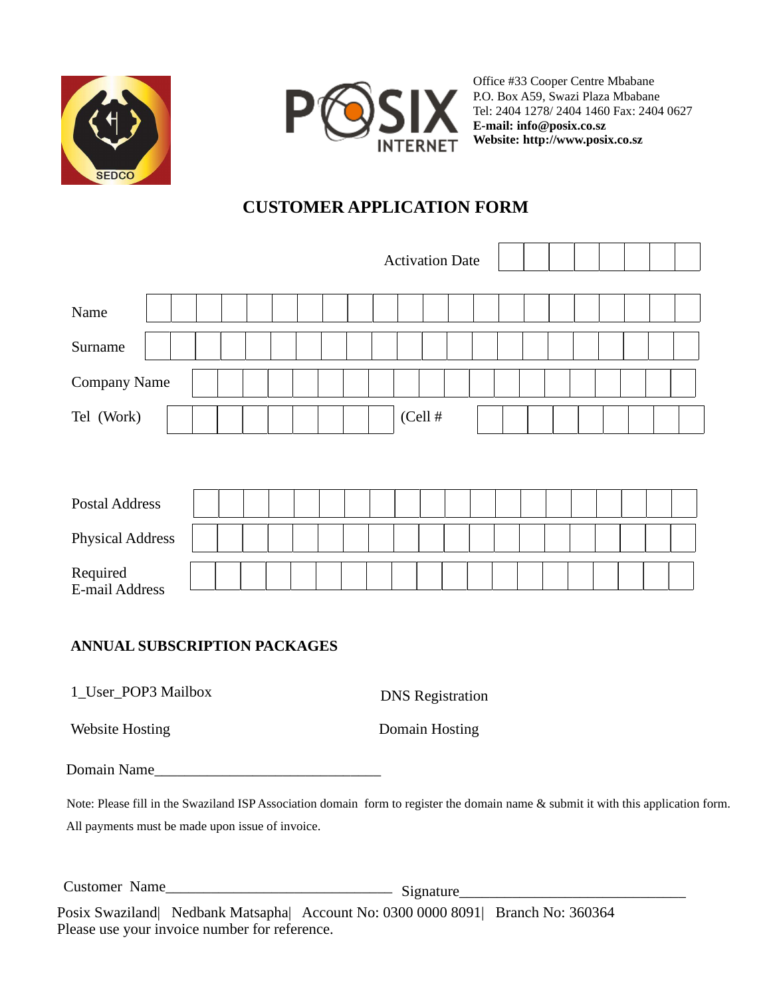



Office #33 Cooper Centre Mbabane P.O. Box A59, Swazi Plaza Mbabane Tel: 2404 1278/ 2404 1460 Fax: 2404 0627 **E-mail: info@posix.co.sz Website: http://www.posix.co.sz** 

# **CUSTOMER APPLICATION FORM**

|                            |  |  |  |  | <b>Activation Date</b> |            |  |  |  |  |  |
|----------------------------|--|--|--|--|------------------------|------------|--|--|--|--|--|
| Name                       |  |  |  |  |                        |            |  |  |  |  |  |
| Surname                    |  |  |  |  |                        |            |  |  |  |  |  |
| Company Name               |  |  |  |  |                        |            |  |  |  |  |  |
| Tel (Work)                 |  |  |  |  |                        | $(Cell \#$ |  |  |  |  |  |
|                            |  |  |  |  |                        |            |  |  |  |  |  |
| <b>Postal Address</b>      |  |  |  |  |                        |            |  |  |  |  |  |
| <b>Physical Address</b>    |  |  |  |  |                        |            |  |  |  |  |  |
| Required<br>E-mail Address |  |  |  |  |                        |            |  |  |  |  |  |

## **ANNUAL SUBSCRIPTION PACKAGES**

1\_User\_POP3 Mailbox DNS Registration

Website Hosting **Domain Hosting** 

Domain Name\_\_\_\_\_\_\_\_\_\_\_\_\_\_\_\_\_\_\_\_\_\_\_\_\_\_\_\_\_\_

Note: Please fill in the Swaziland ISP Association domain form to register the domain name & submit it with this application form. All payments must be made upon issue of invoice.

Customer Name\_\_\_\_\_\_\_\_\_\_\_\_\_\_\_\_\_\_\_\_\_\_\_\_\_\_\_\_\_\_ Signature\_\_\_\_\_\_\_\_\_\_\_\_\_\_\_\_\_\_\_\_\_\_\_\_\_\_\_\_\_\_

Posix Swaziland| Nedbank Matsapha| Account No: 0300 0000 8091| Branch No: 360364 Please use your invoice number for reference.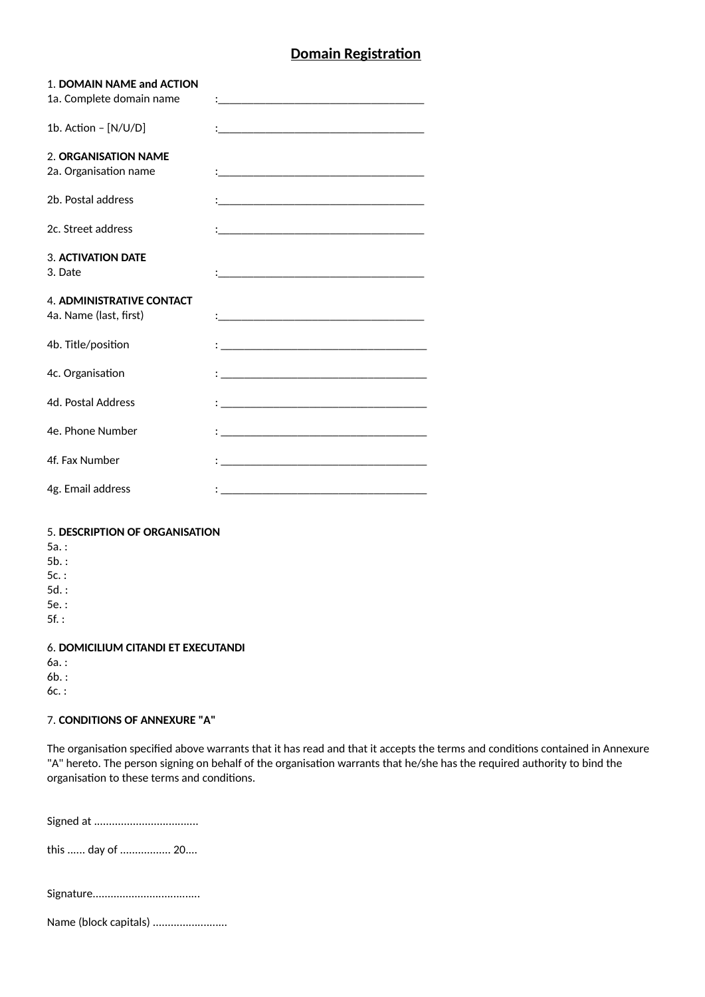## **Domain Registration**

| 1. DOMAIN NAME and ACTION<br>1a. Complete domain name                                 | $\mathbf{1}$ and $\mathbf{1}$ and $\mathbf{1}$ and $\mathbf{1}$ and $\mathbf{1}$ and $\mathbf{1}$ and $\mathbf{1}$ and $\mathbf{1}$                                                                                               |
|---------------------------------------------------------------------------------------|-----------------------------------------------------------------------------------------------------------------------------------------------------------------------------------------------------------------------------------|
| 1b. Action - [N/U/D]                                                                  |                                                                                                                                                                                                                                   |
| 2. ORGANISATION NAME<br>2a. Organisation name                                         |                                                                                                                                                                                                                                   |
| 2b. Postal address                                                                    |                                                                                                                                                                                                                                   |
| 2c. Street address                                                                    |                                                                                                                                                                                                                                   |
| <b>3. ACTIVATION DATE</b><br>3. Date                                                  |                                                                                                                                                                                                                                   |
| <b>4. ADMINISTRATIVE CONTACT</b><br>4a. Name (last, first)                            | $\mathbf{C}$ , and the contract of the contract of the contract of the contract of the contract of the contract of the contract of the contract of the contract of the contract of the contract of the contract of the contract o |
| 4b. Title/position                                                                    | $\ddotsc$ . The contract of the contract of the contract of the contract of the contract of the contract of the contract of the contract of the contract of the contract of the contract of the contract of the contract of the   |
| 4c. Organisation                                                                      | $\mathbf{1}$ , the contribution of the contribution of the contribution of the contribution of the contribution of the contribution of the contribution of the contribution of the contribution of the contribution of the contri |
| 4d. Postal Address                                                                    | the contract of the contract of the contract of the contract of the contract of the contract of the contract of                                                                                                                   |
| 4e. Phone Number                                                                      |                                                                                                                                                                                                                                   |
| 4f. Fax Number                                                                        | $\frac{1}{2}$ . The contract of the contract of the contract of the contract of the contract of the contract of the contract of the contract of the contract of the contract of the contract of the contract of the contract of t |
| 4g. Email address                                                                     | $\mathbf{1}$ , and the contribution of the contribution of the contribution of $\mathbf{1}$                                                                                                                                       |
| 5. DESCRIPTION OF ORGANISATION<br>$5a.$ :<br>$5b.$ :<br>$5c.$ :<br>$5d.$ :<br>$5e.$ : |                                                                                                                                                                                                                                   |
| $5f.$ :<br><b>CONFIGURING CITANING TT EVECUTANIN</b>                                  |                                                                                                                                                                                                                                   |

6. **DOMICILIUM CITANDI ET EXECUTANDI** 

6a. : 6b. :

6c. :

### **7. CONDITIONS OF ANNEXURE "A"**

The organisation specified above warrants that it has read and that it accepts the terms and conditions contained in Annexure "A" hereto. The person signing on behalf of the organisation warrants that he/she has the required authority to bind the organisation to these terms and conditions.

Signed at ...................................

this ...... day of ................. 20....

Name (block capitals) ...........................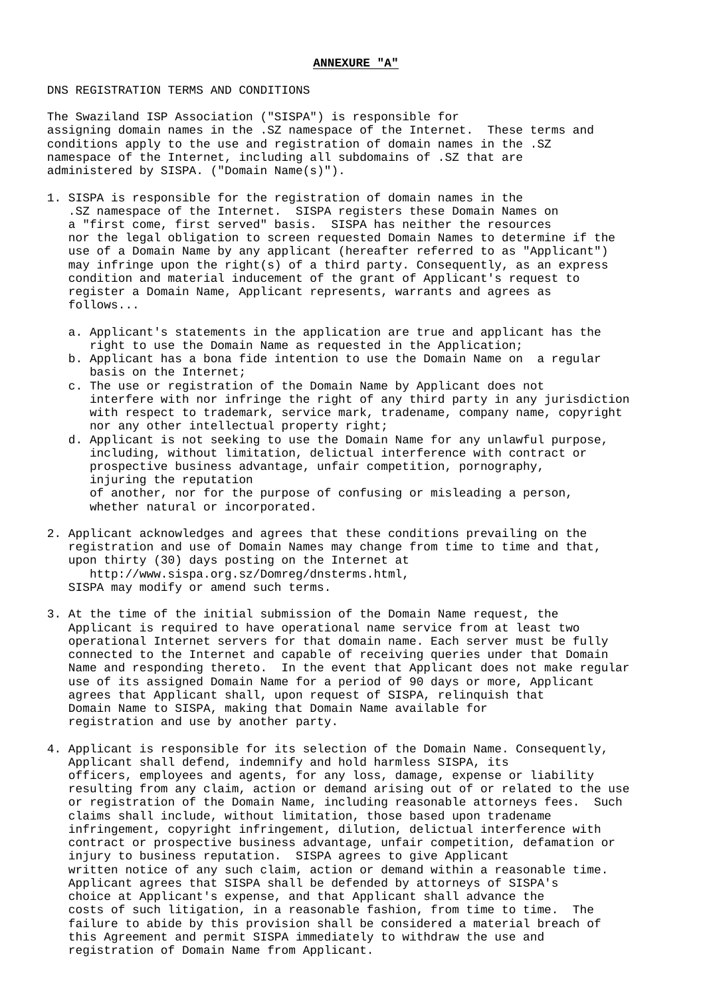### **ANNEXURE "A"**

### DNS REGISTRATION TERMS AND CONDITIONS

The Swaziland ISP Association ("SISPA") is responsible for assigning domain names in the .SZ namespace of the Internet. These terms and conditions apply to the use and registration of domain names in the .SZ namespace of the Internet, including all subdomains of .SZ that are administered by SISPA. ("Domain Name(s)").

- 1. SISPA is responsible for the registration of domain names in the .SZ namespace of the Internet. SISPA registers these Domain Names on a "first come, first served" basis. SISPA has neither the resources nor the legal obligation to screen requested Domain Names to determine if the use of a Domain Name by any applicant (hereafter referred to as "Applicant") may infringe upon the right(s) of a third party. Consequently, as an express condition and material inducement of the grant of Applicant's request to register a Domain Name, Applicant represents, warrants and agrees as follows...
	- a. Applicant's statements in the application are true and applicant has the right to use the Domain Name as requested in the Application;
	- b. Applicant has a bona fide intention to use the Domain Name on a regular basis on the Internet;
- c. The use or registration of the Domain Name by Applicant does not interfere with nor infringe the right of any third party in any jurisdiction with respect to trademark, service mark, tradename, company name, copyright nor any other intellectual property right;
	- d. Applicant is not seeking to use the Domain Name for any unlawful purpose, including, without limitation, delictual interference with contract or prospective business advantage, unfair competition, pornography, injuring the reputation of another, nor for the purpose of confusing or misleading a person, whether natural or incorporated.
- 2. Applicant acknowledges and agrees that these conditions prevailing on the registration and use of Domain Names may change from time to time and that, upon thirty (30) days posting on the Internet at http://www.sispa.org.sz/Domreg/dnsterms.html, SISPA may modify or amend such terms.
- 3. At the time of the initial submission of the Domain Name request, the Applicant is required to have operational name service from at least two operational Internet servers for that domain name. Each server must be fully connected to the Internet and capable of receiving queries under that Domain Name and responding thereto. In the event that Applicant does not make regular use of its assigned Domain Name for a period of 90 days or more, Applicant agrees that Applicant shall, upon request of SISPA, relinquish that Domain Name to SISPA, making that Domain Name available for registration and use by another party.
- 4. Applicant is responsible for its selection of the Domain Name. Consequently, Applicant shall defend, indemnify and hold harmless SISPA, its officers, employees and agents, for any loss, damage, expense or liability resulting from any claim, action or demand arising out of or related to the use or registration of the Domain Name, including reasonable attorneys fees. Such claims shall include, without limitation, those based upon tradename infringement, copyright infringement, dilution, delictual interference with contract or prospective business advantage, unfair competition, defamation or injury to business reputation. SISPA agrees to give Applicant written notice of any such claim, action or demand within a reasonable time. Applicant agrees that SISPA shall be defended by attorneys of SISPA's choice at Applicant's expense, and that Applicant shall advance the costs of such litigation, in a reasonable fashion, from time to time. The failure to abide by this provision shall be considered a material breach of this Agreement and permit SISPA immediately to withdraw the use and registration of Domain Name from Applicant.